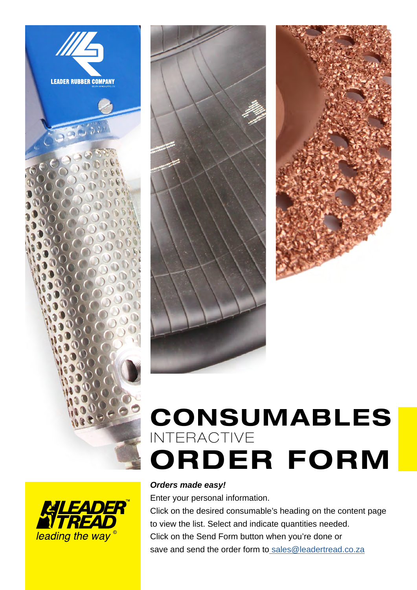





## CONSUMABLES ORDER FORM INTERACTIVE

# leading the way<sup>®</sup>

#### *Orders made easy!*

Enter your personal information.

Click on the desired consumable's heading on the content page to view the list. Select and indicate quantities needed. Click on the Send Form button when you're done or save and send the order form to [sales@leadertread.co.za](mailto:%20sales%40leadertread.co.za?subject=New%20consumables%20order)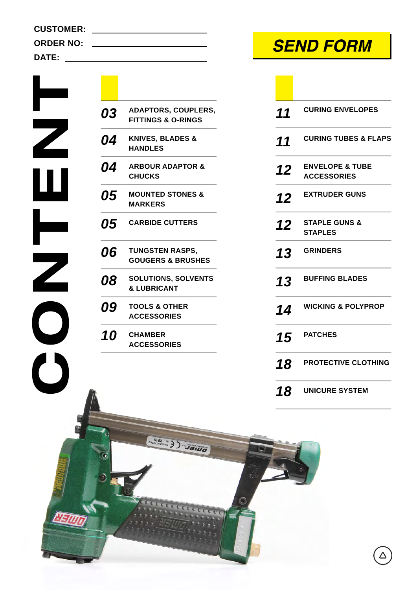**HEIMT** 

| 03         | <b>ADAPTORS, COUPLERS,</b><br><b>FITTINGS &amp; O-RINGS</b> |
|------------|-------------------------------------------------------------|
| Л <i>і</i> | <b>VAINES DI ANES 9</b>                                     |

- *04* **KNIVES, BLADES & HANDLES**
- *04* **ARBOUR ADAPTOR & CHUCKS**
- *05* **MOUNTED STONES & MARKERS**
- *05* **CARBIDE CUTTERS**
- *06* **TUNGSTEN RASPS, GOUGERS & BRUSHES**
- *08* **SOLUTIONS, SOLVENTS & LUBRICANT**

**SIDE NI DI SELLIC** 

ceccece

- *09* **TOOLS & OTHER ACCESSORIES**
- *10* **CHAMBER ACCESSORIES**

### **SEND FORM**

| 11 | <b>CURING ENVELOPES</b>                          |
|----|--------------------------------------------------|
| 11 | <b>CURING TUBES &amp; FLAPS</b>                  |
| 12 | <b>ENVELOPE &amp; TUBE</b><br><b>ACCESSORIES</b> |
| 12 | <b>EXTRUDER GUNS</b>                             |
| 12 | <b>STAPLE GUNS &amp;</b><br><b>STAPLES</b>       |
| 13 | <b>GRINDERS</b>                                  |
| 13 | <b>BUFFING BLADES</b>                            |
| 14 | <b>WICKING &amp; POLYPROP</b>                    |
| 15 | <b>PATCHES</b>                                   |
| 18 | <b>PROTECTIVE CLOTHING</b>                       |
| 18 | <b>UNICURE SYSTEM</b>                            |

 $\triangle$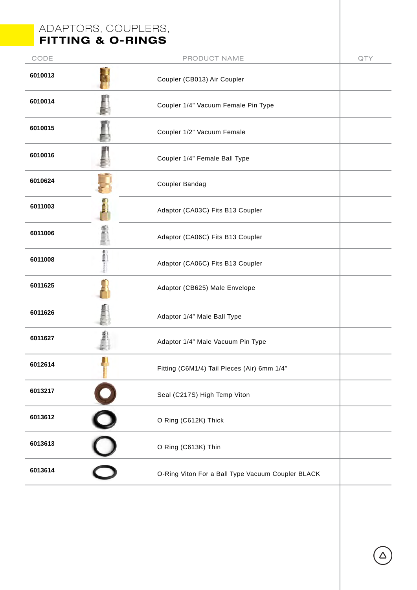#### ADAPTORS, COUPLERS, FITTING & O-RINGS

| CODE    | PRODUCT NAME                                      | QTY |
|---------|---------------------------------------------------|-----|
| 6010013 | Coupler (CB013) Air Coupler                       |     |
| 6010014 | Coupler 1/4" Vacuum Female Pin Type               |     |
| 6010015 | Coupler 1/2" Vacuum Female                        |     |
| 6010016 | Coupler 1/4" Female Ball Type                     |     |
| 6010624 | Coupler Bandag                                    |     |
| 6011003 | Adaptor (CA03C) Fits B13 Coupler                  |     |
| 6011006 | Adaptor (CA06C) Fits B13 Coupler                  |     |
| 6011008 | Í<br>Adaptor (CA06C) Fits B13 Coupler             |     |
| 6011625 | Adaptor (CB625) Male Envelope                     |     |
| 6011626 | Adaptor 1/4" Male Ball Type                       |     |
| 6011627 | Adaptor 1/4" Male Vacuum Pin Type                 |     |
| 6012614 | Fitting (C6M1/4) Tail Pieces (Air) 6mm 1/4"       |     |
| 6013217 | Seal (C217S) High Temp Viton                      |     |
| 6013612 | O Ring (C612K) Thick                              |     |
| 6013613 | O Ring (C613K) Thin                               |     |
| 6013614 | O-Ring Viton For a Ball Type Vacuum Coupler BLACK |     |
|         |                                                   |     |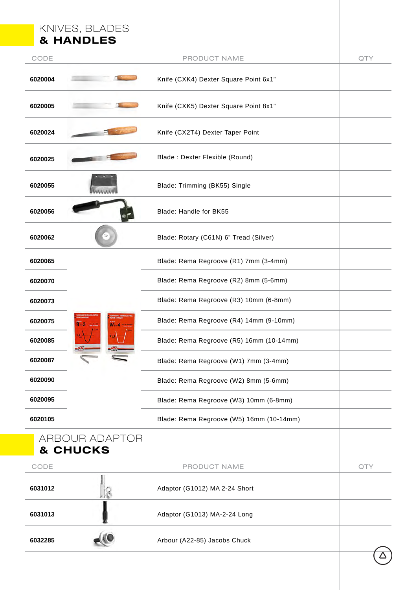|         | KNIVES, BLADES<br><b>&amp; HANDLES</b> |                                          |     |
|---------|----------------------------------------|------------------------------------------|-----|
| CODE    |                                        | PRODUCT NAME                             | QTY |
| 6020004 |                                        | Knife (CXK4) Dexter Square Point 6x1"    |     |
| 6020005 |                                        | Knife (CXK5) Dexter Square Point 8x1"    |     |
| 6020024 |                                        | Knife (CX2T4) Dexter Taper Point         |     |
| 6020025 |                                        | Blade: Dexter Flexible (Round)           |     |
| 6020055 |                                        | Blade: Trimming (BK55) Single            |     |
| 6020056 |                                        | Blade: Handle for BK55                   |     |
| 6020062 |                                        | Blade: Rotary (C61N) 6" Tread (Silver)   |     |
| 6020065 |                                        | Blade: Rema Regroove (R1) 7mm (3-4mm)    |     |
| 6020070 |                                        | Blade: Rema Regroove (R2) 8mm (5-6mm)    |     |
| 6020073 |                                        | Blade: Rema Regroove (R3) 10mm (6-8mm)   |     |
| 6020075 | $R_{\rm mu}$ 3                         | Blade: Rema Regroove (R4) 14mm (9-10mm)  |     |
| 6020085 | $9 - 10$                               | Blade: Rema Regroove (R5) 16mm (10-14mm) |     |
| 6020087 | $-2\pi$                                | Blade: Rema Regroove (W1) 7mm (3-4mm)    |     |
| 6020090 |                                        | Blade: Rema Regroove (W2) 8mm (5-6mm)    |     |
| 6020095 |                                        | Blade: Rema Regroove (W3) 10mm (6-8mm)   |     |
| 6020105 |                                        | Blade: Rema Regroove (W5) 16mm (10-14mm) |     |
|         | ARBOUR ADAPTOR<br>& CHUCKS             |                                          |     |
| CODE    |                                        | PRODUCT NAME                             | QTY |
| 6031012 |                                        | Adaptor (G1012) MA 2-24 Short            |     |
| 6031013 |                                        | Adaptor (G1013) MA-2-24 Long             |     |
| 6032285 |                                        | Arbour (A22-85) Jacobs Chuck             |     |
|         |                                        |                                          |     |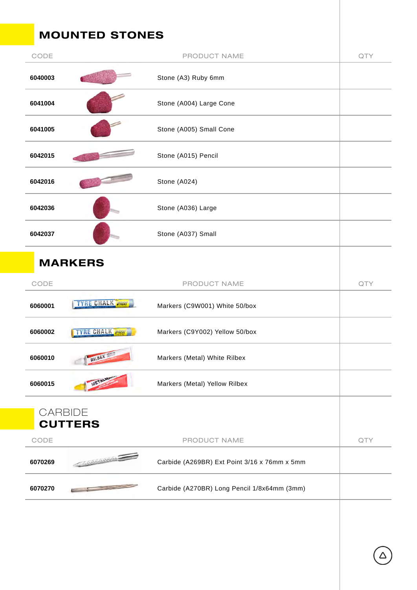## MOUNTED STONES

| CODE    | PRODUCT NAME                                                                                                                                                                                                                                                                        | QTY |
|---------|-------------------------------------------------------------------------------------------------------------------------------------------------------------------------------------------------------------------------------------------------------------------------------------|-----|
| 6040003 | Stone (A3) Ruby 6mm                                                                                                                                                                                                                                                                 |     |
| 6041004 | Stone (A004) Large Cone                                                                                                                                                                                                                                                             |     |
| 6041005 | Stone (A005) Small Cone                                                                                                                                                                                                                                                             |     |
| 6042015 | Stone (A015) Pencil                                                                                                                                                                                                                                                                 |     |
| 6042016 | Stone (A024)                                                                                                                                                                                                                                                                        |     |
| 6042036 | Stone (A036) Large                                                                                                                                                                                                                                                                  |     |
| 6042037 | Stone (A037) Small                                                                                                                                                                                                                                                                  |     |
|         | <b>MARKERS</b>                                                                                                                                                                                                                                                                      |     |
| CODE    | PRODUCT NAME                                                                                                                                                                                                                                                                        | QTY |
| 6060001 | <b>TYRE CHALK <i>INGER</i></b><br>Markers (C9W001) White 50/box                                                                                                                                                                                                                     |     |
| 6060002 | TYRE CHALK<br>Markers (C9Y002) Yellow 50/box                                                                                                                                                                                                                                        |     |
| 6060010 | RILBEX W<br>Markers (Metal) White Rilbex                                                                                                                                                                                                                                            |     |
| 6060015 | Markers (Metal) Yellow Rilbex                                                                                                                                                                                                                                                       |     |
|         | <b>CARBIDE</b><br><b>CUTTERS</b>                                                                                                                                                                                                                                                    |     |
| CODE    | PRODUCT NAME                                                                                                                                                                                                                                                                        | QTY |
| 6070269 | <b>CONSTRUCTION</b><br>Carbide (A269BR) Ext Point 3/16 x 76mm x 5mm                                                                                                                                                                                                                 |     |
| 6070270 | Carbide (A270BR) Long Pencil 1/8x64mm (3mm)<br><b>Contract Contract Contract Contract Contract Contract Contract Contract Contract Contract Contract Contract Contract Contract Contract Contract Contract Contract Contract Contract Contract Contract Contract Contract Contr</b> |     |
|         |                                                                                                                                                                                                                                                                                     |     |

 $\Delta$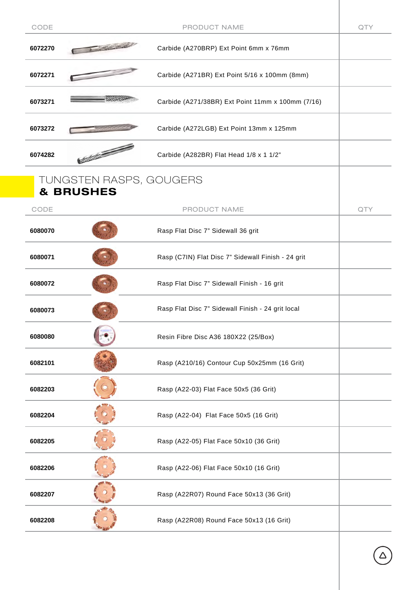| CODE    |                                                 | PRODUCT NAME                                       | QTY |
|---------|-------------------------------------------------|----------------------------------------------------|-----|
| 6072270 | 1 335,55                                        | Carbide (A270BRP) Ext Point 6mm x 76mm             |     |
| 6072271 |                                                 | Carbide (A271BR) Ext Point 5/16 x 100mm (8mm)      |     |
| 6073271 |                                                 | Carbide (A271/38BR) Ext Point 11mm x 100mm (7/16)  |     |
| 6073272 |                                                 | Carbide (A272LGB) Ext Point 13mm x 125mm           |     |
| 6074282 |                                                 | Carbide (A282BR) Flat Head 1/8 x 1 1/2"            |     |
|         | TUNGSTEN RASPS, GOUGERS<br><b>&amp; BRUSHES</b> |                                                    |     |
| CODE    |                                                 | PRODUCT NAME                                       | QTY |
| 6080070 |                                                 | Rasp Flat Disc 7" Sidewall 36 grit                 |     |
| 6080071 |                                                 | Rasp (C7IN) Flat Disc 7" Sidewall Finish - 24 grit |     |
| 6080072 |                                                 | Rasp Flat Disc 7" Sidewall Finish - 16 grit        |     |
| 6080073 |                                                 | Rasp Flat Disc 7" Sidewall Finish - 24 grit local  |     |
| 6080080 |                                                 | Resin Fibre Disc A36 180X22 (25/Box)               |     |
| 6082101 |                                                 | Rasp (A210/16) Contour Cup 50x25mm (16 Grit)       |     |
| 6082203 |                                                 | Rasp (A22-03) Flat Face 50x5 (36 Grit)             |     |
| 6082204 |                                                 | Rasp (A22-04) Flat Face 50x5 (16 Grit)             |     |
| 6082205 |                                                 | Rasp (A22-05) Flat Face 50x10 (36 Grit)            |     |
| 6082206 |                                                 | Rasp (A22-06) Flat Face 50x10 (16 Grit)            |     |
| 6082207 |                                                 | Rasp (A22R07) Round Face 50x13 (36 Grit)           |     |
| 6082208 |                                                 | Rasp (A22R08) Round Face 50x13 (16 Grit)           |     |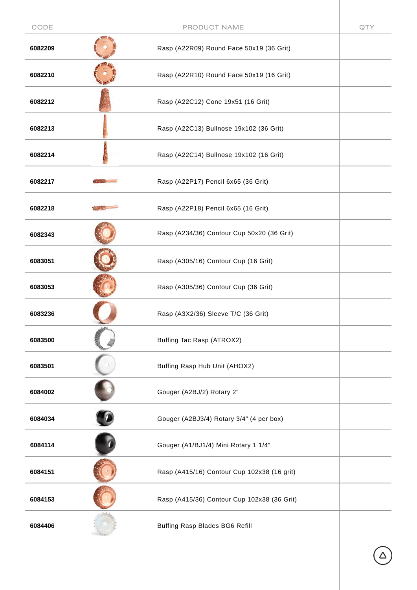| CODE    | PRODUCT NAME                                | QTY |
|---------|---------------------------------------------|-----|
| 6082209 | Rasp (A22R09) Round Face 50x19 (36 Grit)    |     |
| 6082210 | Rasp (A22R10) Round Face 50x19 (16 Grit)    |     |
| 6082212 | Rasp (A22C12) Cone 19x51 (16 Grit)          |     |
| 6082213 | Rasp (A22C13) Bullnose 19x102 (36 Grit)     |     |
| 6082214 | Rasp (A22C14) Bullnose 19x102 (16 Grit)     |     |
| 6082217 | Rasp (A22P17) Pencil 6x65 (36 Grit)         |     |
| 6082218 | Rasp (A22P18) Pencil 6x65 (16 Grit)         |     |
| 6082343 | Rasp (A234/36) Contour Cup 50x20 (36 Grit)  |     |
| 6083051 | Rasp (A305/16) Contour Cup (16 Grit)        |     |
| 6083053 | Rasp (A305/36) Contour Cup (36 Grit)        |     |
| 6083236 | Rasp (A3X2/36) Sleeve T/C (36 Grit)         |     |
| 6083500 | Buffing Tac Rasp (ATROX2)                   |     |
| 6083501 | Buffing Rasp Hub Unit (AHOX2)               |     |
| 6084002 | Gouger (A2BJ/2) Rotary 2"                   |     |
| 6084034 | Gouger (A2BJ3/4) Rotary 3/4" (4 per box)    |     |
| 6084114 | Gouger (A1/BJ1/4) Mini Rotary 1 1/4"        |     |
| 6084151 | Rasp (A415/16) Contour Cup 102x38 (16 grit) |     |
| 6084153 | Rasp (A415/36) Contour Cup 102x38 (36 Grit) |     |
| 6084406 | Buffing Rasp Blades BG6 Refill              |     |
|         |                                             |     |

 $\Delta$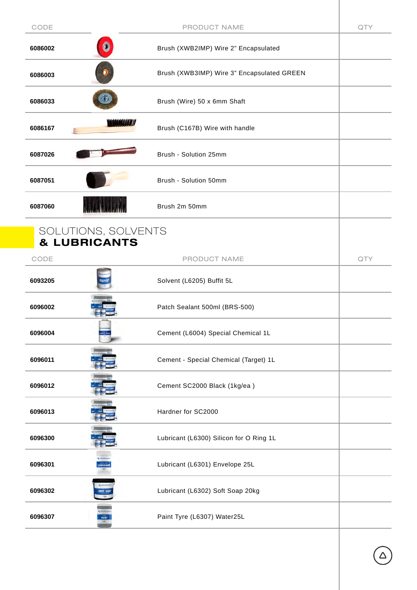| CODE    | PRODUCT NAME                                   | QTY |
|---------|------------------------------------------------|-----|
| 6086002 | Brush (XWB2IMP) Wire 2" Encapsulated           |     |
| 6086003 | Brush (XWB3IMP) Wire 3" Encapsulated GREEN     |     |
| 6086033 | Brush (Wire) 50 x 6mm Shaft                    |     |
| 6086167 | Brush (C167B) Wire with handle                 |     |
| 6087026 | Brush - Solution 25mm                          |     |
| 6087051 | Brush - Solution 50mm                          |     |
| 6087060 | Brush 2m 50mm                                  |     |
|         | SOLUTIONS, SOLVENTS<br><b>&amp; LUBRICANTS</b> |     |
| CODE    | PRODUCT NAME                                   | QTY |
| 6093205 | Solvent (L6205) Buffit 5L                      |     |
| 6096002 | Patch Sealant 500ml (BRS-500)                  |     |
| 6096004 | Cement (L6004) Special Chemical 1L             |     |
| 6096011 | Cement - Special Chemical (Target) 1L          |     |
| 6096012 | Cement SC2000 Black (1kg/ea)                   |     |
| 6096013 | Hardner for SC2000                             |     |
| 6096300 | Lubricant (L6300) Silicon for O Ring 1L        |     |
| 6096301 | Lubricant (L6301) Envelope 25L<br>UERICANT     |     |
| 6096302 | Lubricant (L6302) Soft Soap 20kg<br>SOFT SOAP  |     |
| 6096307 | Paint Tyre (L6307) Water25L<br>PAINT           |     |
|         |                                                |     |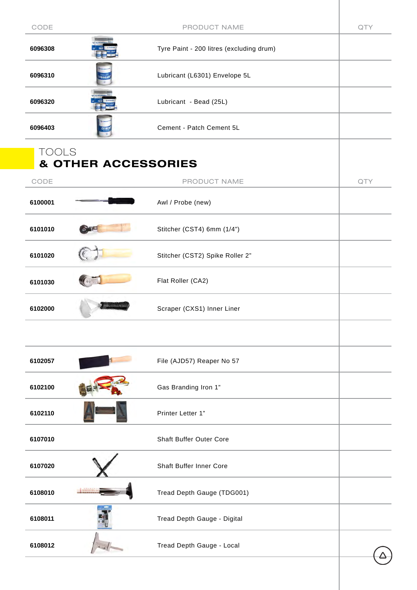| CODE         |                                | PRODUCT NAME                             | QTY |
|--------------|--------------------------------|------------------------------------------|-----|
| 6096308      |                                | Tyre Paint - 200 litres (excluding drum) |     |
| 6096310      |                                | Lubricant (L6301) Envelope 5L            |     |
| 6096320      |                                | Lubricant - Bead (25L)                   |     |
| 6096403      |                                | Cement - Patch Cement 5L                 |     |
| <b>TOOLS</b> | <b>&amp; OTHER ACCESSORIES</b> |                                          |     |
| CODE         |                                | PRODUCT NAME                             | QTY |
| 6100001      |                                | Awl / Probe (new)                        |     |
| 6101010      |                                | Stitcher (CST4) 6mm (1/4")               |     |
| 6101020      |                                | Stitcher (CST2) Spike Roller 2"          |     |
| 6101030      |                                | Flat Roller (CA2)                        |     |
| 6102000      |                                | Scraper (CXS1) Inner Liner               |     |
|              |                                |                                          |     |
| 6102057      |                                | File (AJD57) Reaper No 57                |     |
| 6102100      |                                | Gas Branding Iron 1"                     |     |
| 6102110      |                                | Printer Letter 1"                        |     |
| 6107010      |                                | <b>Shaft Buffer Outer Core</b>           |     |
| 6107020      |                                | <b>Shaft Buffer Inner Core</b>           |     |
| 6108010      |                                | Tread Depth Gauge (TDG001)               |     |
| 6108011      |                                | Tread Depth Gauge - Digital              |     |
| 6108012      |                                | Tread Depth Gauge - Local                |     |
|              |                                |                                          |     |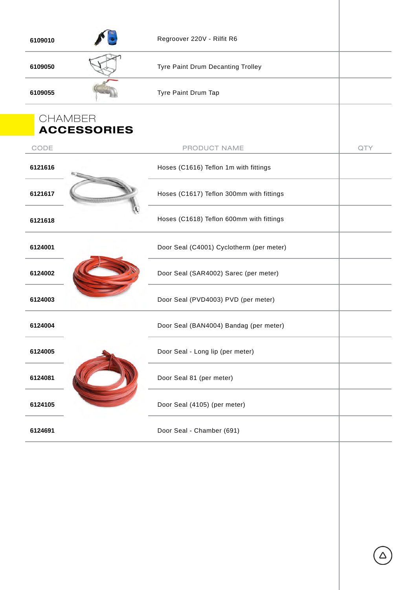| 6109010                              | Regroover 220V - Rilfit R6               |     |
|--------------------------------------|------------------------------------------|-----|
| 6109050                              | Tyre Paint Drum Decanting Trolley        |     |
| 6109055                              | Tyre Paint Drum Tap                      |     |
| <b>CHAMBER</b><br><b>ACCESSORIES</b> |                                          |     |
| CODE                                 | PRODUCT NAME                             | QTY |
| 6121616                              | Hoses (C1616) Teflon 1m with fittings    |     |
| 6121617                              | Hoses (C1617) Teflon 300mm with fittings |     |
| 6121618                              | Hoses (C1618) Teflon 600mm with fittings |     |
| 6124001                              | Door Seal (C4001) Cyclotherm (per meter) |     |
| 6124002                              | Door Seal (SAR4002) Sarec (per meter)    |     |
| 6124003                              | Door Seal (PVD4003) PVD (per meter)      |     |
| 6124004                              | Door Seal (BAN4004) Bandag (per meter)   |     |
| 6124005                              | Door Seal - Long lip (per meter)         |     |
| 6124081                              | Door Seal 81 (per meter)                 |     |
| 6124105                              | Door Seal (4105) (per meter)             |     |
| 6124691                              | Door Seal - Chamber (691)                |     |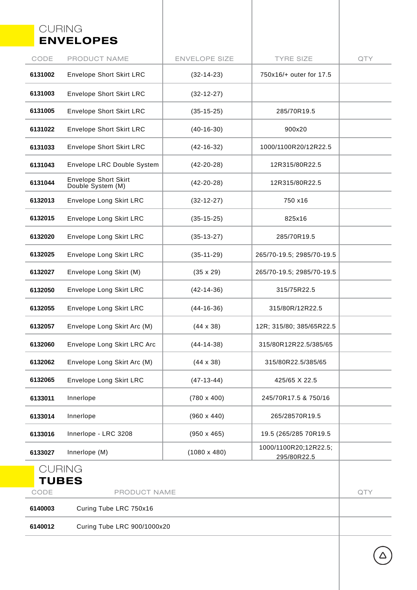#### CURING ENVELOPES

|                      | <b>ENVELOPES</b>                                 |                      |                                      |     |
|----------------------|--------------------------------------------------|----------------------|--------------------------------------|-----|
| CODE                 | PRODUCT NAME                                     | <b>ENVELOPE SIZE</b> | <b>TYRE SIZE</b>                     | QTY |
| 6131002              | <b>Envelope Short Skirt LRC</b>                  | $(32-14-23)$         | 750x16/+ outer for 17.5              |     |
| 6131003              | <b>Envelope Short Skirt LRC</b>                  | $(32-12-27)$         |                                      |     |
| 6131005              | <b>Envelope Short Skirt LRC</b>                  | $(35-15-25)$         | 285/70R19.5                          |     |
| 6131022              | <b>Envelope Short Skirt LRC</b>                  | $(40-16-30)$         | 900x20                               |     |
| 6131033              | <b>Envelope Short Skirt LRC</b>                  | $(42-16-32)$         | 1000/1100R20/12R22.5                 |     |
| 6131043              | Envelope LRC Double System                       | $(42-20-28)$         | 12R315/80R22.5                       |     |
| 6131044              | <b>Envelope Short Skirt</b><br>Double System (M) | $(42-20-28)$         | 12R315/80R22.5                       |     |
| 6132013              | Envelope Long Skirt LRC                          | $(32-12-27)$         | 750 x16                              |     |
| 6132015              | Envelope Long Skirt LRC                          | $(35-15-25)$         | 825x16                               |     |
| 6132020              | Envelope Long Skirt LRC                          | $(35-13-27)$         | 285/70R19.5                          |     |
| 6132025              | Envelope Long Skirt LRC                          | $(35-11-29)$         | 265/70-19.5; 2985/70-19.5            |     |
| 6132027              | Envelope Long Skirt (M)                          | $(35 \times 29)$     | 265/70-19.5; 2985/70-19.5            |     |
| 6132050              | Envelope Long Skirt LRC                          | $(42-14-36)$         | 315/75R22.5                          |     |
| 6132055              | Envelope Long Skirt LRC                          | $(44-16-36)$         | 315/80R/12R22.5                      |     |
| 6132057              | Envelope Long Skirt Arc (M)                      | $(44 \times 38)$     | 12R; 315/80; 385/65R22.5             |     |
| 6132060              | Envelope Long Skirt LRC Arc                      | $(44-14-38)$         | 315/80R12R22.5/385/65                |     |
| 6132062              | Envelope Long Skirt Arc (M)                      | $(44 \times 38)$     | 315/80R22.5/385/65                   |     |
| 6132065              | Envelope Long Skirt LRC                          | $(47-13-44)$         | 425/65 X 22.5                        |     |
| 6133011              | Innerlope                                        | $(780 \times 400)$   | 245/70R17.5 & 750/16                 |     |
| 6133014              | Innerlope                                        | $(960 \times 440)$   | 265/28570R19.5                       |     |
| 6133016              | Innerlope - LRC 3208                             | $(950 \times 465)$   | 19.5 (265/285 70R19.5)               |     |
| 6133027              | Innerlope (M)                                    | $(1080 \times 480)$  | 1000/1100R20;12R22.5;<br>295/80R22.5 |     |
| <b>CURING</b>        |                                                  |                      |                                      |     |
| <b>TUBES</b><br>CODE | PRODUCT NAME                                     |                      |                                      | QTY |

|         |                             | ___ |
|---------|-----------------------------|-----|
| 6140003 | Curing Tube LRC 750x16      |     |
| 6140012 | Curing Tube LRC 900/1000x20 |     |

 $\Delta$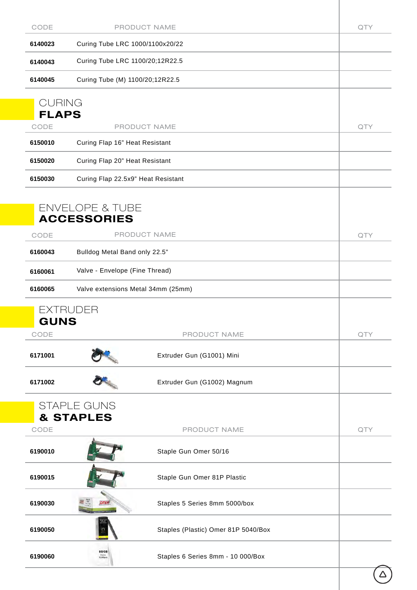| CODE          | PRODUCT NAME                                     | QTY |
|---------------|--------------------------------------------------|-----|
| 6140023       | Curing Tube LRC 1000/1100x20/22                  |     |
| 6140043       | Curing Tube LRC 1100/20;12R22.5                  |     |
| 6140045       | Curing Tube (M) 1100/20;12R22.5                  |     |
| <b>CURING</b> |                                                  |     |
| <b>FLAPS</b>  |                                                  |     |
| CODE          | PRODUCT NAME                                     | QTY |
| 6150010       | Curing Flap 16" Heat Resistant                   |     |
| 6150020       | Curing Flap 20" Heat Resistant                   |     |
| 6150030       | Curing Flap 22.5x9" Heat Resistant               |     |
|               |                                                  |     |
|               | <b>ENVELOPE &amp; TUBE</b><br><b>ACCESSORIES</b> |     |
| CODE          | PRODUCT NAME                                     | QTY |
| 6160043       | Bulldog Metal Band only 22.5"                    |     |
| 6160061       | Valve - Envelope (Fine Thread)                   |     |
| 6160065       | Valve extensions Metal 34mm (25mm)               |     |
|               | <b>EXTRUDER</b>                                  |     |
| <b>GUNS</b>   |                                                  |     |
| CODE          | PRODUCT NAME                                     | QTY |
| 6171001       | Extruder Gun (G1001) Mini                        |     |
| 6171002       | Extruder Gun (G1002) Magnum                      |     |
|               | <b>STAPLE GUNS</b>                               |     |
| CODE          | <b>&amp; STAPLES</b><br>PRODUCT NAME             | QTY |
| 6190010       | Staple Gun Omer 50/16                            |     |
| 6190015       | Staple Gun Omer 81P Plastic                      |     |
| 6190030       | Staples 5 Series 8mm 5000/box                    |     |
| 6190050       | Staples (Plastic) Omer 81P 5040/Box              |     |
|               | 80/08                                            |     |
| 6190060       | Staples 6 Series 8mm - 10 000/Box<br>Hallen      |     |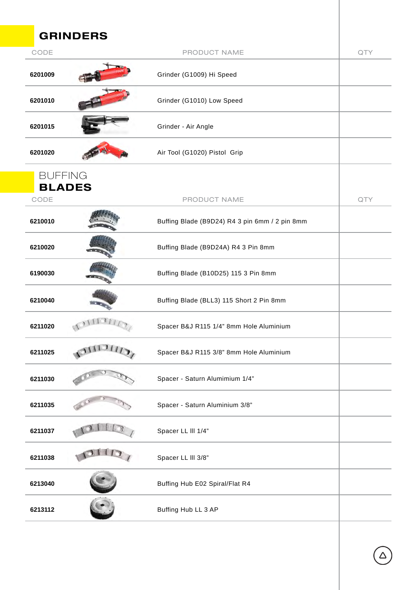|         | <b>GRINDERS</b>                 |                                                |     |
|---------|---------------------------------|------------------------------------------------|-----|
| CODE    |                                 | PRODUCT NAME                                   | QTY |
| 6201009 |                                 | Grinder (G1009) Hi Speed                       |     |
| 6201010 |                                 | Grinder (G1010) Low Speed                      |     |
| 6201015 |                                 | Grinder - Air Angle                            |     |
| 6201020 |                                 | Air Tool (G1020) Pistol Grip                   |     |
|         | <b>BUFFING</b><br><b>BLADES</b> |                                                |     |
| CODE    |                                 | PRODUCT NAME                                   | QTY |
| 6210010 |                                 | Buffing Blade (B9D24) R4 3 pin 6mm / 2 pin 8mm |     |
| 6210020 |                                 | Buffing Blade (B9D24A) R4 3 Pin 8mm            |     |
| 6190030 |                                 | Buffing Blade (B10D25) 115 3 Pin 8mm           |     |
| 6210040 |                                 | Buffing Blade (BLL3) 115 Short 2 Pin 8mm       |     |
| 6211020 | $\mathcal{A}$                   | Spacer B&J R115 1/4" 8mm Hole Aluminium        |     |
| 6211025 | 3111311                         | Spacer B&J R115 3/8" 8mm Hole Aluminium        |     |
| 6211030 |                                 | Spacer - Saturn Alumimium 1/4"                 |     |
| 6211035 |                                 | Spacer - Saturn Aluminium 3/8"                 |     |
| 6211037 |                                 | Spacer LL III 1/4"                             |     |
| 6211038 |                                 | Spacer LL III 3/8"                             |     |
| 6213040 |                                 | Buffing Hub E02 Spiral/Flat R4                 |     |
| 6213112 |                                 | Buffing Hub LL 3 AP                            |     |
|         |                                 |                                                |     |

 $\bigodot$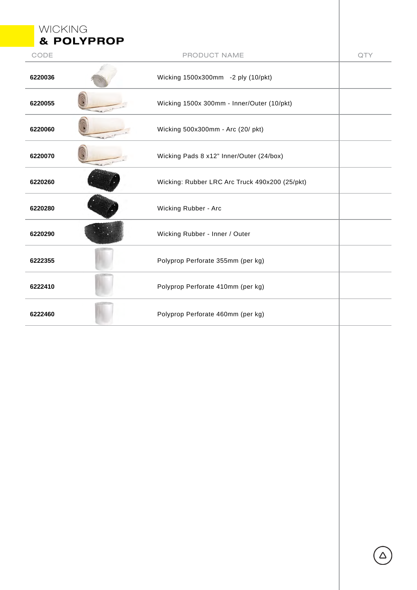| <b>WICKING</b> | & POLYPROP |                                                |     |
|----------------|------------|------------------------------------------------|-----|
| CODE           |            | PRODUCT NAME                                   | QTY |
| 6220036        |            | Wicking 1500x300mm -2 ply (10/pkt)             |     |
| 6220055        |            | Wicking 1500x 300mm - Inner/Outer (10/pkt)     |     |
| 6220060        |            | Wicking 500x300mm - Arc (20/ pkt)              |     |
| 6220070        |            | Wicking Pads 8 x12" Inner/Outer (24/box)       |     |
| 6220260        |            | Wicking: Rubber LRC Arc Truck 490x200 (25/pkt) |     |
| 6220280        |            | Wicking Rubber - Arc                           |     |
| 6220290        |            | Wicking Rubber - Inner / Outer                 |     |
| 6222355        |            | Polyprop Perforate 355mm (per kg)              |     |
| 6222410        |            | Polyprop Perforate 410mm (per kg)              |     |
| 6222460        |            | Polyprop Perforate 460mm (per kg)              |     |
|                |            |                                                |     |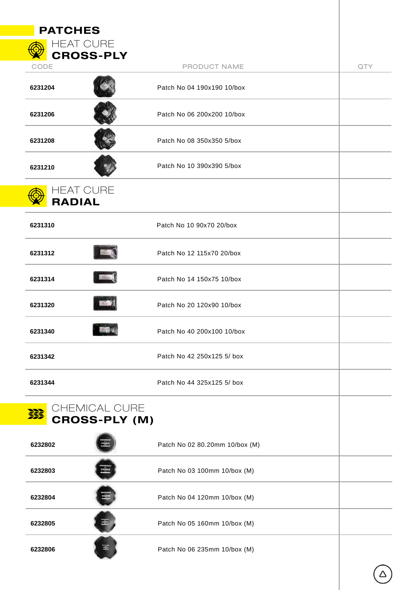| <b>PATCHES</b>                             |                                |     |
|--------------------------------------------|--------------------------------|-----|
| <b>HEAT CURE</b><br><b>CROSS-PLY</b>       |                                |     |
| CODE                                       | PRODUCT NAME                   | QTY |
| 6231204                                    | Patch No 04 190x190 10/box     |     |
| 6231206                                    | Patch No 06 200x200 10/box     |     |
| 6231208                                    | Patch No 08 350x350 5/box      |     |
| 6231210                                    | Patch No 10 390x390 5/box      |     |
| <b>HEAT CURE</b><br><b>RADIAL</b>          |                                |     |
| 6231310                                    | Patch No 10 90x70 20/box       |     |
| 6231312                                    | Patch No 12 115x70 20/box      |     |
| 6231314                                    | Patch No 14 150x75 10/box      |     |
| 6231320                                    | Patch No 20 120x90 10/box      |     |
| 6231340                                    | Patch No 40 200x100 10/box     |     |
| 6231342                                    | Patch No 42 250x125 5/ box     |     |
| 6231344                                    | Patch No 44 325x125 5/ box     |     |
| CHEMICAL CURE<br>荔<br><b>CROSS-PLY (M)</b> |                                |     |
| 6232802                                    | Patch No 02 80.20mm 10/box (M) |     |
| 6232803                                    | Patch No 03 100mm 10/box (M)   |     |
| 6232804                                    | Patch No 04 120mm 10/box (M)   |     |
| 6232805                                    | Patch No 05 160mm 10/box (M)   |     |
| 6232806                                    | Patch No 06 235mm 10/box (M)   |     |
|                                            |                                |     |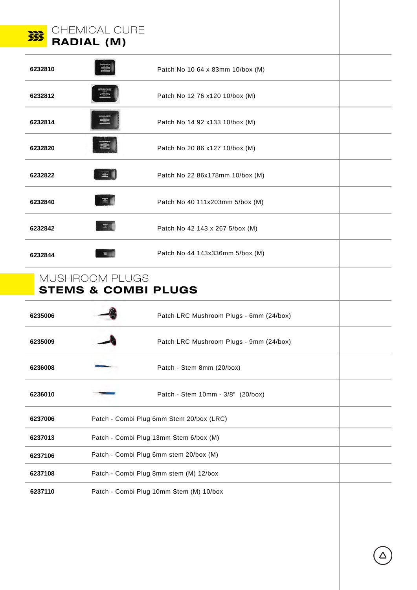|                                                  | CHEMICAL CURE<br><b>RADIAL (M)</b> |                                          |  |
|--------------------------------------------------|------------------------------------|------------------------------------------|--|
| 6232810                                          |                                    | Patch No 10 64 x 83mm 10/box (M)         |  |
| 6232812                                          |                                    | Patch No 12 76 x120 10/box (M)           |  |
| 6232814                                          |                                    | Patch No 14 92 x133 10/box (M)           |  |
| 6232820                                          |                                    | Patch No 20 86 x127 10/box (M)           |  |
| 6232822                                          | 三                                  | Patch No 22 86x178mm 10/box (M)          |  |
| 6232840                                          | 画                                  | Patch No 40 111x203mm 5/box (M)          |  |
| 6232842                                          | ョ                                  | Patch No 42 143 x 267 5/box (M)          |  |
| 6232844                                          |                                    | Patch No 44 143x336mm 5/box (M)          |  |
| MUSHROOM PLUGS<br><b>STEMS &amp; COMBI PLUGS</b> |                                    |                                          |  |
| 6235006                                          |                                    | Patch LRC Mushroom Plugs - 6mm (24/box)  |  |
| 6235009                                          |                                    | Patch LRC Mushroom Plugs - 9mm (24/box)  |  |
| 6236008                                          |                                    | Patch - Stem 8mm (20/box)                |  |
| 6236010                                          |                                    |                                          |  |
|                                                  |                                    | Patch - Stem 10mm - 3/8" (20/box)        |  |
| 6237006                                          |                                    | Patch - Combi Plug 6mm Stem 20/box (LRC) |  |
| 6237013                                          |                                    | Patch - Combi Plug 13mm Stem 6/box (M)   |  |
| 6237106                                          |                                    | Patch - Combi Plug 6mm stem 20/box (M)   |  |
| 6237108                                          |                                    | Patch - Combi Plug 8mm stem (M) 12/box   |  |
| 6237110                                          |                                    | Patch - Combi Plug 10mm Stem (M) 10/box  |  |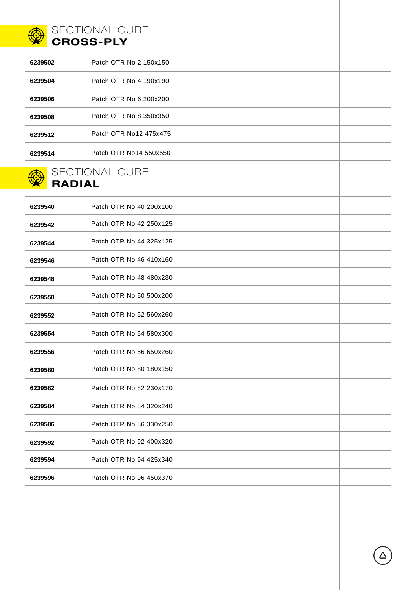

#### SECTIONAL CURE CROSS-PLY

| 6239502 | Patch OTR No 2 150x150 |  |
|---------|------------------------|--|
| 6239504 | Patch OTR No 4 190x190 |  |
| 6239506 | Patch OTR No 6 200x200 |  |
| 6239508 | Patch OTR No 8 350x350 |  |
| 6239512 | Patch OTR No12 475x475 |  |
| 6239514 | Patch OTR No14 550x550 |  |
|         | SECTIONAL CURE         |  |
| DANIAI  |                        |  |

#### RADIAL

| 6239540 | Patch OTR No 40 200x100 |  |
|---------|-------------------------|--|
| 6239542 | Patch OTR No 42 250x125 |  |
| 6239544 | Patch OTR No 44 325x125 |  |
| 6239546 | Patch OTR No 46 410x160 |  |
| 6239548 | Patch OTR No 48 480x230 |  |
| 6239550 | Patch OTR No 50 500x200 |  |
| 6239552 | Patch OTR No 52 560x260 |  |
| 6239554 | Patch OTR No 54 580x300 |  |
| 6239556 | Patch OTR No 56 650x260 |  |
| 6239580 | Patch OTR No 80 180x150 |  |
| 6239582 | Patch OTR No 82 230x170 |  |
| 6239584 | Patch OTR No 84 320x240 |  |
| 6239586 | Patch OTR No 86 330x250 |  |
| 6239592 | Patch OTR No 92 400x320 |  |
| 6239594 | Patch OTR No 94 425x340 |  |
| 6239596 | Patch OTR No 96 450x370 |  |
|         |                         |  |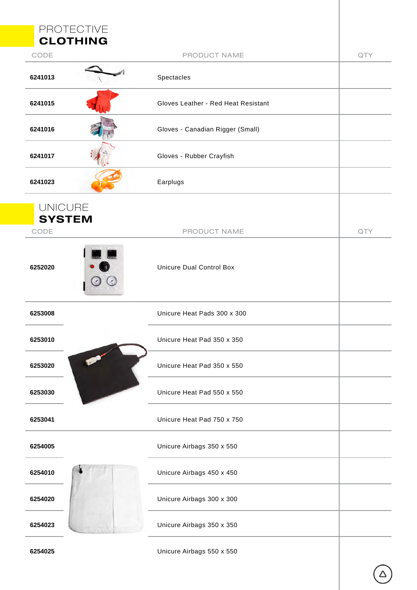|                | <b>PROTECTIVE</b>                   |     |
|----------------|-------------------------------------|-----|
|                | <b>CLOTHING</b>                     |     |
| CODE           | PRODUCT NAME                        | QTY |
| 6241013        | Spectacles                          |     |
| 6241015        | Gloves Leather - Red Heat Resistant |     |
| 6241016        | Gloves - Canadian Rigger (Small)    |     |
| 6241017        | Gloves - Rubber Crayfish            |     |
| 6241023        | Earplugs                            |     |
| <b>UNICURE</b> |                                     |     |
|                | <b>SYSTEM</b>                       |     |
| CODE           | PRODUCT NAME                        | QTY |
| 6252020        | <b>Unicure Dual Control Box</b>     |     |
| 6253008        | Unicure Heat Pads 300 x 300         |     |
| 6253010        | Unicure Heat Pad 350 x 350          |     |
| 6253020        | Unicure Heat Pad 350 x 550          |     |
| 6253030        | Unicure Heat Pad 550 x 550          |     |
| 6253041        | Unicure Heat Pad 750 x 750          |     |
| 6254005        | Unicure Airbags 350 x 550           |     |
| 6254010        | Unicure Airbags 450 x 450           |     |
| 6254020        | Unicure Airbags 300 x 300           |     |
| 6254023        | Unicure Airbags 350 x 350           |     |
| 6254025        | Unicure Airbags 550 x 550           |     |

 $\bigodot$